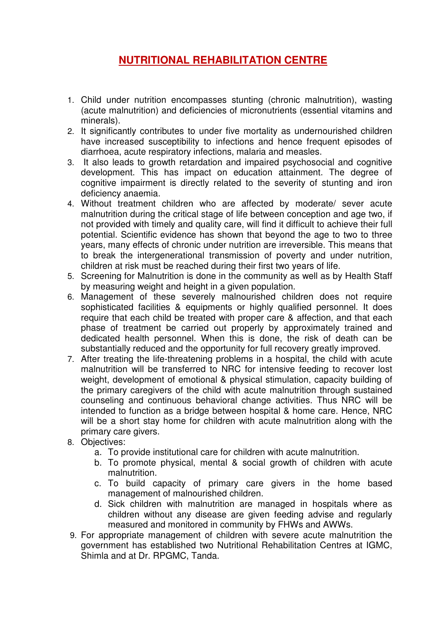# **NUTRITIONAL REHABILITATION CENTRE**

- 1. Child under nutrition encompasses stunting (chronic malnutrition), wasting (acute malnutrition) and deficiencies of micronutrients (essential vitamins and minerals).
- 2. It significantly contributes to under five mortality as undernourished children have increased susceptibility to infections and hence frequent episodes of diarrhoea, acute respiratory infections, malaria and measles.
- 3. It also leads to growth retardation and impaired psychosocial and cognitive development. This has impact on education attainment. The degree of cognitive impairment is directly related to the severity of stunting and iron deficiency anaemia.
- 4. Without treatment children who are affected by moderate/ sever acute malnutrition during the critical stage of life between conception and age two, if not provided with timely and quality care, will find it difficult to achieve their full potential. Scientific evidence has shown that beyond the age to two to three years, many effects of chronic under nutrition are irreversible. This means that to break the intergenerational transmission of poverty and under nutrition, children at risk must be reached during their first two years of life.
- 5. Screening for Malnutrition is done in the community as well as by Health Staff by measuring weight and height in a given population.
- 6. Management of these severely malnourished children does not require sophisticated facilities & equipments or highly qualified personnel. It does require that each child be treated with proper care & affection, and that each phase of treatment be carried out properly by approximately trained and dedicated health personnel. When this is done, the risk of death can be substantially reduced and the opportunity for full recovery greatly improved.
- 7. After treating the life-threatening problems in a hospital, the child with acute malnutrition will be transferred to NRC for intensive feeding to recover lost weight, development of emotional & physical stimulation, capacity building of the primary caregivers of the child with acute malnutrition through sustained counseling and continuous behavioral change activities. Thus NRC will be intended to function as a bridge between hospital & home care. Hence, NRC will be a short stay home for children with acute malnutrition along with the primary care givers.
- 8. Objectives:
	- a. To provide institutional care for children with acute malnutrition.
	- b. To promote physical, mental & social growth of children with acute malnutrition.
	- c. To build capacity of primary care givers in the home based management of malnourished children.
	- d. Sick children with malnutrition are managed in hospitals where as children without any disease are given feeding advise and regularly measured and monitored in community by FHWs and AWWs.
- 9. For appropriate management of children with severe acute malnutrition the government has established two Nutritional Rehabilitation Centres at IGMC, Shimla and at Dr. RPGMC, Tanda.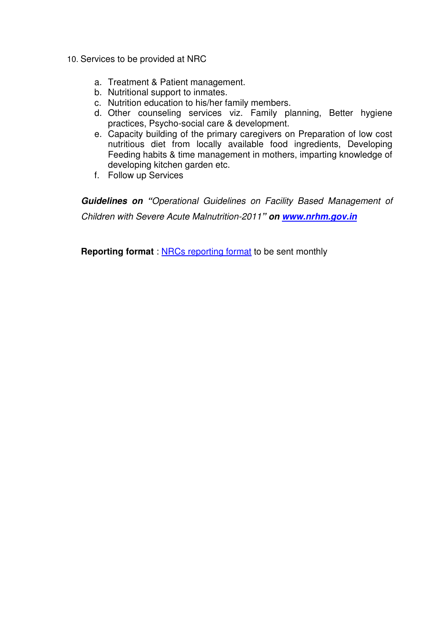- 10. Services to be provided at NRC
	- a. Treatment & Patient management.
	- b. Nutritional support to inmates.
	- c. Nutrition education to his/her family members.
	- d. Other counseling services viz. Family planning, Better hygiene practices, Psycho-social care & development.
	- e. Capacity building of the primary caregivers on Preparation of low cost nutritious diet from locally available food ingredients, Developing Feeding habits & time management in mothers, imparting knowledge of developing kitchen garden etc.
	- f. Follow up Services

**Guidelines on "**Operational Guidelines on Facility Based Management of Children with Severe Acute Malnutrition-2011**" on www.nrhm.gov.in** 

**Reporting format** : NRCs reporting format to be sent monthly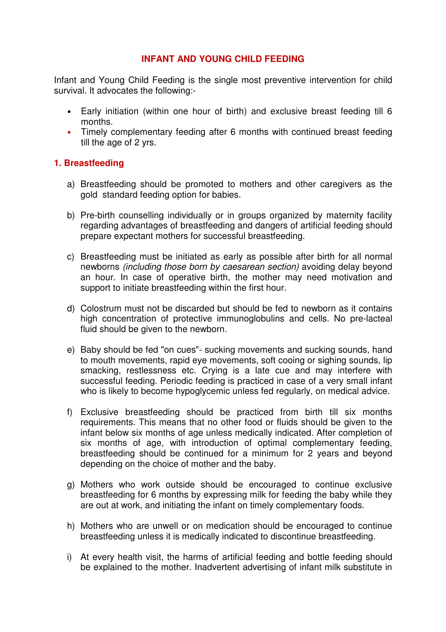## **INFANT AND YOUNG CHILD FEEDING**

Infant and Young Child Feeding is the single most preventive intervention for child survival. It advocates the following:-

- Early initiation (within one hour of birth) and exclusive breast feeding till 6 months.
- Timely complementary feeding after 6 months with continued breast feeding till the age of 2 yrs.

## **1. Breastfeeding**

- a) Breastfeeding should be promoted to mothers and other caregivers as the gold standard feeding option for babies.
- b) Pre-birth counselling individually or in groups organized by maternity facility regarding advantages of breastfeeding and dangers of artificial feeding should prepare expectant mothers for successful breastfeeding.
- c) Breastfeeding must be initiated as early as possible after birth for all normal newborns (including those born by caesarean section) avoiding delay beyond an hour. In case of operative birth, the mother may need motivation and support to initiate breastfeeding within the first hour.
- d) Colostrum must not be discarded but should be fed to newborn as it contains high concentration of protective immunoglobulins and cells. No pre-lacteal fluid should be given to the newborn.
- e) Baby should be fed "on cues"- sucking movements and sucking sounds, hand to mouth movements, rapid eye movements, soft cooing or sighing sounds, lip smacking, restlessness etc. Crying is a late cue and may interfere with successful feeding. Periodic feeding is practiced in case of a very small infant who is likely to become hypoglycemic unless fed regularly, on medical advice.
- f) Exclusive breastfeeding should be practiced from birth till six months requirements. This means that no other food or fluids should be given to the infant below six months of age unless medically indicated. After completion of six months of age, with introduction of optimal complementary feeding, breastfeeding should be continued for a minimum for 2 years and beyond depending on the choice of mother and the baby.
- g) Mothers who work outside should be encouraged to continue exclusive breastfeeding for 6 months by expressing milk for feeding the baby while they are out at work, and initiating the infant on timely complementary foods.
- h) Mothers who are unwell or on medication should be encouraged to continue breastfeeding unless it is medically indicated to discontinue breastfeeding.
- i) At every health visit, the harms of artificial feeding and bottle feeding should be explained to the mother. Inadvertent advertising of infant milk substitute in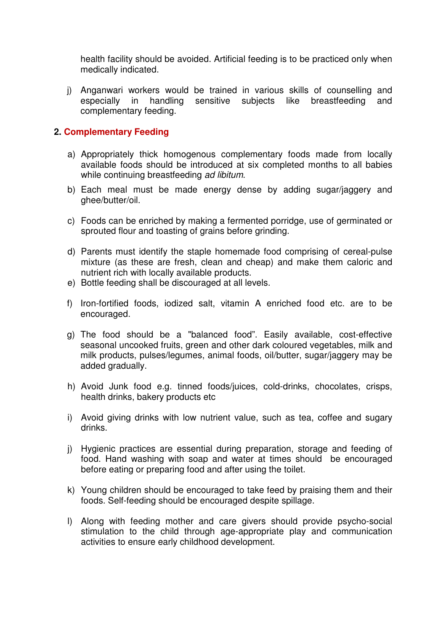health facility should be avoided. Artificial feeding is to be practiced only when medically indicated.

j) Anganwari workers would be trained in various skills of counselling and especially in handling sensitive subjects like breastfeeding and complementary feeding.

#### **2. Complementary Feeding**

- a) Appropriately thick homogenous complementary foods made from locally available foods should be introduced at six completed months to all babies while continuing breastfeeding ad libitum.
- b) Each meal must be made energy dense by adding sugar/jaggery and ghee/butter/oil.
- c) Foods can be enriched by making a fermented porridge, use of germinated or sprouted flour and toasting of grains before grinding.
- d) Parents must identify the staple homemade food comprising of cereal-pulse mixture (as these are fresh, clean and cheap) and make them caloric and nutrient rich with locally available products.
- e) Bottle feeding shall be discouraged at all levels.
- f) Iron-fortified foods, iodized salt, vitamin A enriched food etc. are to be encouraged.
- g) The food should be a "balanced food". Easily available, cost-effective seasonal uncooked fruits, green and other dark coloured vegetables, milk and milk products, pulses/legumes, animal foods, oil/butter, sugar/jaggery may be added gradually.
- h) Avoid Junk food e.g. tinned foods/juices, cold-drinks, chocolates, crisps, health drinks, bakery products etc
- i) Avoid giving drinks with low nutrient value, such as tea, coffee and sugary drinks.
- j) Hygienic practices are essential during preparation, storage and feeding of food. Hand washing with soap and water at times should be encouraged before eating or preparing food and after using the toilet.
- k) Young children should be encouraged to take feed by praising them and their foods. Self-feeding should be encouraged despite spillage.
- l) Along with feeding mother and care givers should provide psycho-social stimulation to the child through age-appropriate play and communication activities to ensure early childhood development.